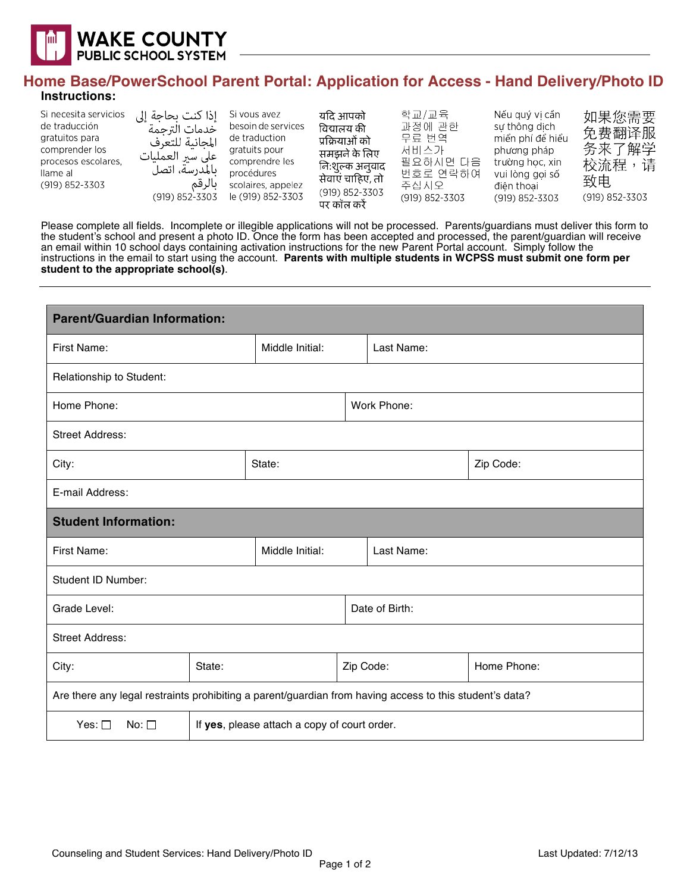

## **Home Base/PowerSchool Parent Portal: Application for Access - Hand Delivery/Photo ID Instructions:**

| Si necesita servicios<br>de traducción<br>gratuitos para<br>comprender los<br>procesos escolares.<br>llame al<br>(919) 852-3303 | إذا كنت بحاجة إلى<br>خدمات الترحمة<br>المجانبة للتعرف<br>على سير العمليات<br>ىالمدرسة، اتصل<br>بالرقم<br>(919) 852-3303 | Si vous avez<br>besoin de services<br>de traduction<br>gratuits pour<br>comprendre les<br>procédures<br>scolaires, appelez<br>le (919) 852-3303 | यदि आपको<br>विद्यालय की<br>प्रक्रियाओं को<br>समझने के लिए<br>नि:शुल्क अनुवाद<br>सेवाएं चाहिए, तो<br>(919) 852-3303<br>पर कॉल करें | 학교/교육<br>과정에 관한<br>무류 번역<br>서비스가<br>필요하시면 다음<br>번호로 연락하여<br>주십시오<br>(919) 852-3303 | Nếu quý vi cần<br>sư thông dịch<br>miền phí để hiểu<br>phương pháp<br>trường học, xin<br>vui lòng goi số<br>điên thoai<br>(919) 852-3303 | 如果您需要<br>免费翻译服<br>务来了解学<br>校流程<br>请<br>致电<br>(919) 852-3303 |
|---------------------------------------------------------------------------------------------------------------------------------|-------------------------------------------------------------------------------------------------------------------------|-------------------------------------------------------------------------------------------------------------------------------------------------|-----------------------------------------------------------------------------------------------------------------------------------|------------------------------------------------------------------------------------|------------------------------------------------------------------------------------------------------------------------------------------|-------------------------------------------------------------|
|---------------------------------------------------------------------------------------------------------------------------------|-------------------------------------------------------------------------------------------------------------------------|-------------------------------------------------------------------------------------------------------------------------------------------------|-----------------------------------------------------------------------------------------------------------------------------------|------------------------------------------------------------------------------------|------------------------------------------------------------------------------------------------------------------------------------------|-------------------------------------------------------------|

Please complete all fields. Incomplete or illegible applications will not be processed. Parents/guardians must deliver this form to the student's school and present a photo ID. Once the form has been accepted and processed, the parent/guardian will receive an email within 10 school days containing activation instructions for the new Parent Portal account. Simply follow the instructions in the email to start using the account. **Parents with multiple students in WCPSS must submit one form per student to the appropriate school(s)**.

| <b>Parent/Guardian Information:</b>                                                                     |                                              |                 |           |                |             |  |  |
|---------------------------------------------------------------------------------------------------------|----------------------------------------------|-----------------|-----------|----------------|-------------|--|--|
| First Name:                                                                                             |                                              | Middle Initial: |           | Last Name:     |             |  |  |
| Relationship to Student:                                                                                |                                              |                 |           |                |             |  |  |
| Home Phone:                                                                                             |                                              | Work Phone:     |           |                |             |  |  |
| <b>Street Address:</b>                                                                                  |                                              |                 |           |                |             |  |  |
| City:                                                                                                   |                                              | State:          |           |                | Zip Code:   |  |  |
| E-mail Address:                                                                                         |                                              |                 |           |                |             |  |  |
| <b>Student Information:</b>                                                                             |                                              |                 |           |                |             |  |  |
| First Name:                                                                                             |                                              | Middle Initial: |           | Last Name:     |             |  |  |
| Student ID Number:                                                                                      |                                              |                 |           |                |             |  |  |
| Grade Level:                                                                                            |                                              |                 |           | Date of Birth: |             |  |  |
| <b>Street Address:</b>                                                                                  |                                              |                 |           |                |             |  |  |
| State:<br>City:                                                                                         |                                              |                 | Zip Code: |                | Home Phone: |  |  |
| Are there any legal restraints prohibiting a parent/guardian from having access to this student's data? |                                              |                 |           |                |             |  |  |
| Yes: $\square$<br>No: $\Box$                                                                            | If yes, please attach a copy of court order. |                 |           |                |             |  |  |